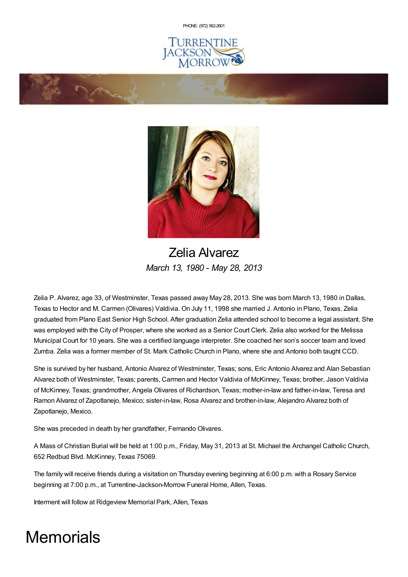PHONE: (972) [562-2601](tel:(972) 562-2601)







Zelia Alvarez *March 13, 1980 - May 28, 2013*

Zelia P. Alvarez, age 33, of Westminster, Texas passed away May 28, 2013. She was born March 13, 1980 in Dallas, Texas to Hector and M. Carmen (Olivares) Valdivia. On July 11, 1998 she married J. Antonio in Plano, Texas. Zelia graduated from Plano East Senior High School. After graduation Zelia attended school to become a legal assistant. She was employed with the City of Prosper, where she worked as a Senior Court Clerk. Zelia also worked for the Melissa Municipal Court for 10 years. She was a certified language interpreter. She coached her son's soccer team and loved Zumba. Zelia was a former member of St. Mark Catholic Church in Plano, where she and Antonio both taught CCD.

She is survived by her husband, Antonio Alvarez of Westminster, Texas; sons, Eric Antonio Alvarez and Alan Sebastian Alvarez both of Westminster, Texas; parents, Carmen and Hector Valdivia of McKinney, Texas; brother, Jason Valdivia of McKinney, Texas; grandmother, Angela Olivares of Richardson, Texas; mother-in-law and father-in-law, Teresa and Ramon Alvarez of Zapotlanejo, Mexico; sister-in-law, Rosa Alvarez and brother-in-law, Alejandro Alvarez both of Zapotlanejo, Mexico.

She was preceded in death by her grandfather, Fernando Olivares.

A Mass of Christian Burial will be held at 1:00 p.m., Friday, May 31, 2013 at St. Michael the Archangel Catholic Church, 652 Redbud Blvd. McKinney, Texas 75069.

The family will receive friends during a visitation on Thursday evening beginning at 6:00 p.m. with a Rosary Service beginning at 7:00 p.m., at Turrentine-Jackson-Morrow Funeral Home, Allen, Texas.

Interment will follow at Ridgeview Memorial Park, Allen, Texas

# **Memorials**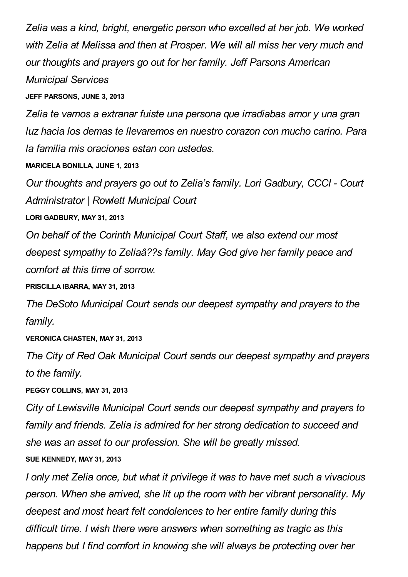*Zelia was a kind, bright, energetic person who excelled at her job. We worked with Zelia at Melissa and then at Prosper. We will all miss her very much and our thoughts and prayers go out for her family. Jeff Parsons American Municipal Services*

**JEFF PARSONS, JUNE 3, 2013**

*Zelia te vamos a extranar fuiste una persona que irradiabas amor y una gran luz hacia los demas te llevaremos en nuestro corazon con mucho carino. Para la familia mis oraciones estan con ustedes.*

**MARICELA BONILLA, JUNE 1, 2013**

*Our thoughts and prayers go out to Zelia's family. Lori Gadbury, CCCI - Court Administrator | Rowlett Municipal Court*

**LORI GADBURY, MAY 31, 2013**

*On behalf of the Corinth Municipal Court Staff, we also extend our most deepest sympathy to Zeliaâ??s family. May God give her family peace and comfort at this time of sorrow.*

**PRISCILLA IBARRA, MAY 31, 2013**

*The DeSoto Municipal Court sends our deepest sympathy and prayers to the family.*

**VERONICA CHASTEN, MAY 31, 2013**

*The City of Red Oak Municipal Court sends our deepest sympathy and prayers to the family.*

**PEGGY COLLINS, MAY 31, 2013**

*City of Lewisville Municipal Court sends our deepest sympathy and prayers to family and friends. Zelia is admired for her strong dedication to succeed and she was an asset to our profession. She will be greatly missed.*

**SUE KENNEDY, MAY 31, 2013**

*I only met Zelia once, but what it privilege it was to have met such a vivacious person. When she arrived, she lit up the room with her vibrant personality. My deepest and most heart felt condolences to her entire family during this difficult time. I wish there were answers when something as tragic as this happens but I find comfort in knowing she will always be protecting over her*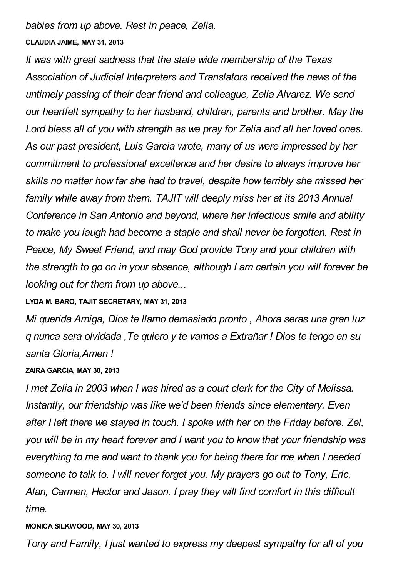*babies from up above. Rest in peace, Zelia.*

### **CLAUDIA JAIME, MAY 31, 2013**

*It was with great sadness that the state wide membership of the Texas Association of Judicial Interpreters and Translators received the news of the untimely passing of their dear friend and colleague, Zelia Alvarez. We send our heartfelt sympathy to her husband, children, parents and brother. May the Lord bless all of you with strength as we pray for Zelia and all her loved ones. As our past president, Luis Garcia wrote, many of us were impressed by her commitment to professional excellence and her desire to always improve her skills no matter how far she had to travel, despite how terribly she missed her family while away from them. TAJIT will deeply miss her at its 2013 Annual Conference in San Antonio and beyond, where her infectious smile and ability to make you laugh had become a staple and shall never be forgotten. Rest in Peace, My Sweet Friend, and may God provide Tony and your children with the strength to go on in your absence, although I am certain you will forever be looking out for them from up above...*

### **LYDA M. BARO, TAJIT SECRETARY, MAY 31, 2013**

*Mi querida Amiga, Dios te llamo demasiado pronto , Ahora seras una gran luz q nunca sera olvidada ,Te quiero y te vamos a Extrañar ! Dios te tengo en su santa Gloria,Amen !*

### **ZAIRA GARCIA, MAY 30, 2013**

*I met Zelia in 2003 when I was hired as a court clerk for the City of Melissa. Instantly, our friendship was like we'd been friends since elementary. Even after I left there we stayed in touch. I spoke with her on the Friday before. Zel, you will be in my heart forever and I want you to know that your friendship was everything to me and want to thank you for being there for me when I needed someone to talk to. I will never forget you. My prayers go out to Tony, Eric, Alan, Carmen, Hector and Jason. I pray they will find comfort in this difficult time.*

### **MONICA SILKWOOD, MAY 30, 2013**

*Tony and Family, I just wanted to express my deepest sympathy for all of you*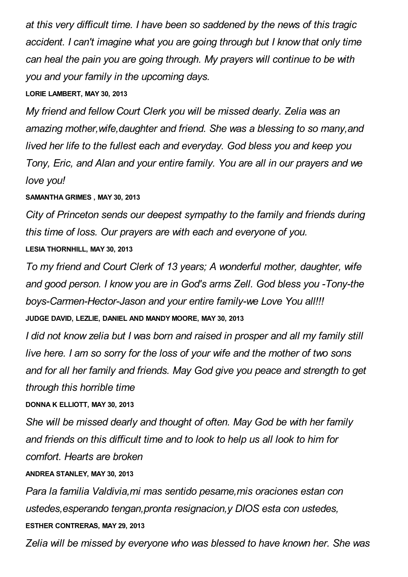*at this very difficult time. I have been so saddened by the news of this tragic accident. I can't imagine what you are going through but I know that only time can heal the pain you are going through. My prayers will continue to be with you and your family in the upcoming days.*

## **LORIE LAMBERT, MAY 30, 2013**

*My friend and fellow Court Clerk you will be missed dearly. Zelia was an amazing mother,wife,daughter and friend. She was a blessing to so many,and lived her life to the fullest each and everyday. God bless you and keep you Tony, Eric, and Alan and your entire family. You are all in our prayers and we love you!*

## **SAMANTHA GRIMES , MAY 30, 2013**

*City of Princeton sends our deepest sympathy to the family and friends during this time of loss. Our prayers are with each and everyone of you.* **LESIA THORNHILL, MAY 30, 2013**

*To my friend and Court Clerk of 13 years; A wonderful mother, daughter, wife and good person. I know you are in God's arms Zell. God bless you -Tony-the boys-Carmen-Hector-Jason and your entire family-we Love You all!!!* **JUDGE DAVID, LEZLIE, DANIEL AND MANDY MOORE, MAY 30, 2013**

*I did not know zelia but I was born and raised in prosper and all my family still live here. I am so sorry for the loss of your wife and the mother of two sons and for all her family and friends. May God give you peace and strength to get through this horrible time*

## **DONNA K ELLIOTT, MAY 30, 2013**

*She will be missed dearly and thought of often. May God be with her family and friends on this difficult time and to look to help us all look to him for comfort. Hearts are broken*

## **ANDREA STANLEY, MAY 30, 2013**

*Para la familia Valdivia,mi mas sentido pesame,mis oraciones estan con ustedes,esperando tengan,pronta resignacion,y DIOS esta con ustedes,* **ESTHER CONTRERAS, MAY 29, 2013**

*Zelia will be missed by everyone who was blessed to have known her. She was*